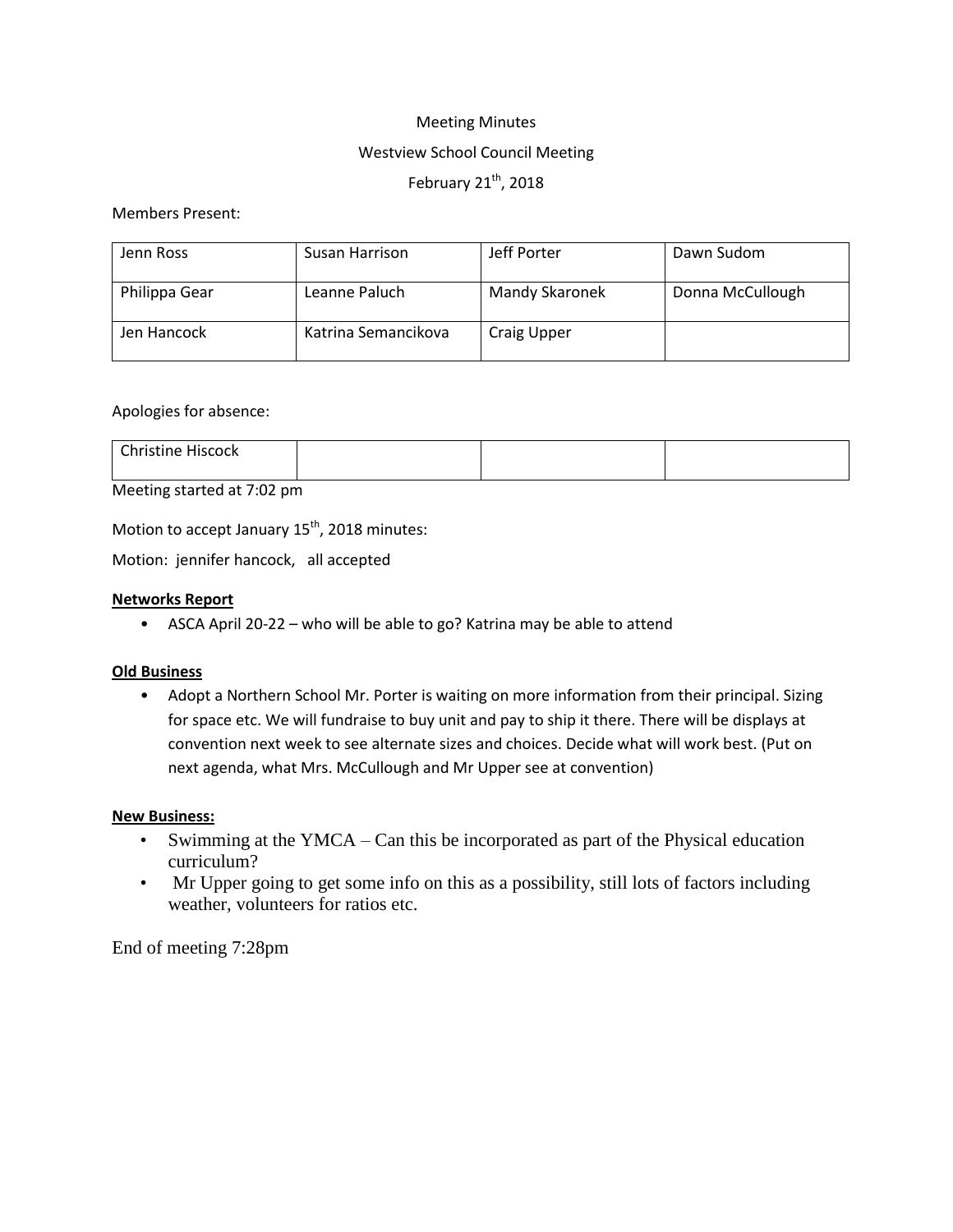# Meeting Minutes Westview School Council Meeting February  $21^{th}$ , 2018

# Members Present:

| Jenn Ross     | Susan Harrison      | Jeff Porter           | Dawn Sudom       |
|---------------|---------------------|-----------------------|------------------|
| Philippa Gear | Leanne Paluch       | <b>Mandy Skaronek</b> | Donna McCullough |
| Jen Hancock   | Katrina Semancikova | <b>Craig Upper</b>    |                  |

### Apologies for absence:

| Christine m.<br><b>HISCOCK</b><br>_ _ _ _ |  |  |
|-------------------------------------------|--|--|
|                                           |  |  |

# Meeting started at 7:02 pm

Motion to accept January  $15^{th}$ , 2018 minutes:

Motion: jennifer hancock, all accepted

### **Networks Report**

• ASCA April 20-22 – who will be able to go? Katrina may be able to attend

## **Old Business**

• Adopt a Northern School Mr. Porter is waiting on more information from their principal. Sizing for space etc. We will fundraise to buy unit and pay to ship it there. There will be displays at convention next week to see alternate sizes and choices. Decide what will work best. (Put on next agenda, what Mrs. McCullough and Mr Upper see at convention)

#### **New Business:**

- Swimming at the YMCA Can this be incorporated as part of the Physical education curriculum?
- Mr Upper going to get some info on this as a possibility, still lots of factors including weather, volunteers for ratios etc.

End of meeting 7:28pm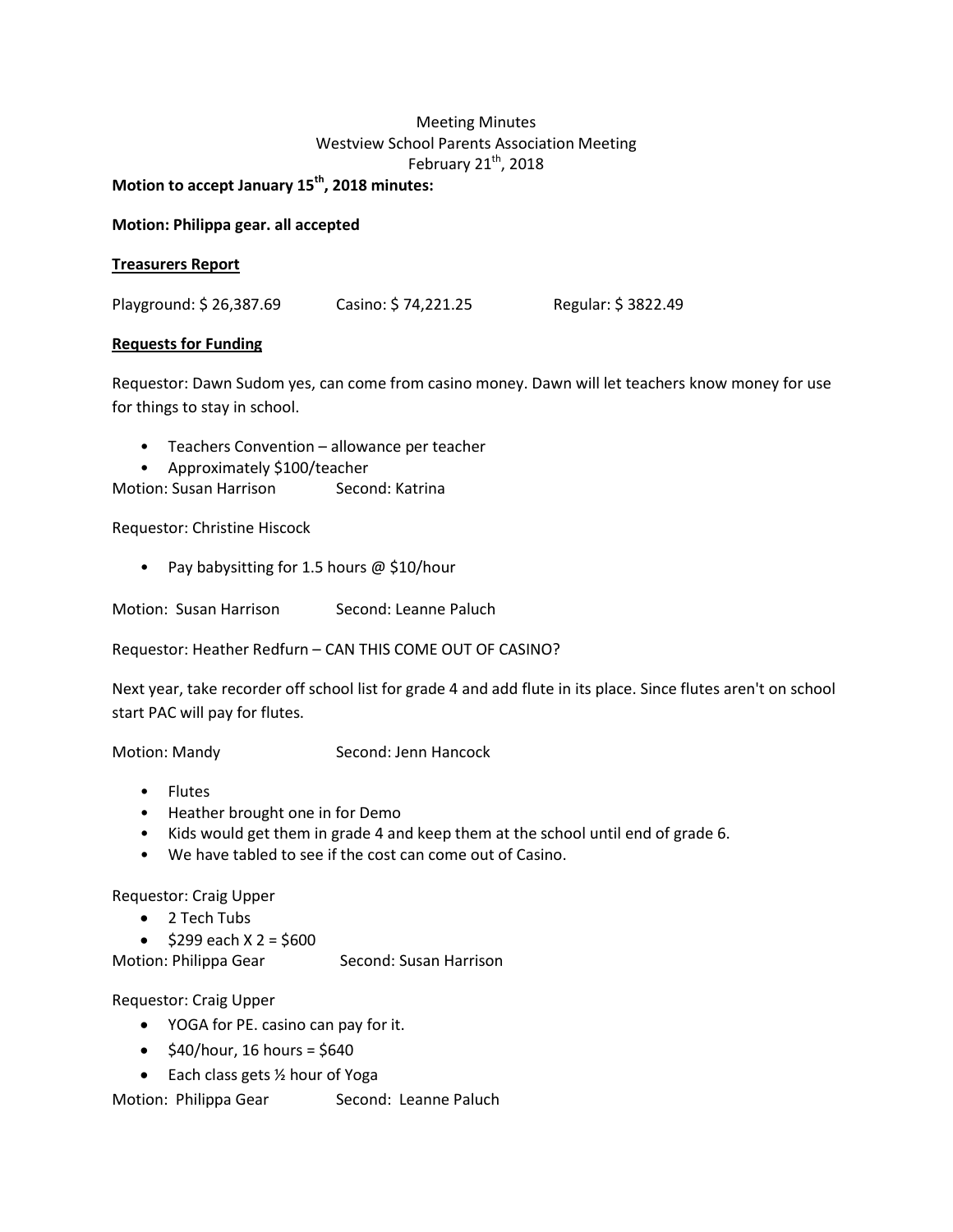# Meeting Minutes Westview School Parents Association Meeting February  $21^{th}$ , 2018

**Motion to accept January 15th, 2018 minutes:**

**Motion: Philippa gear. all accepted**

### **Treasurers Report**

Playground: \$ 26,387.69 Casino: \$ 74,221.25 Regular: \$ 3822.49

### **Requests for Funding**

Requestor: Dawn Sudom yes, can come from casino money. Dawn will let teachers know money for use for things to stay in school.

- Teachers Convention allowance per teacher
- Approximately \$100/teacher

Motion: Susan Harrison Second: Katrina

Requestor: Christine Hiscock

• Pay babysitting for 1.5 hours @ \$10/hour

Motion: Susan Harrison Second: Leanne Paluch

Requestor: Heather Redfurn – CAN THIS COME OUT OF CASINO?

Next year, take recorder off school list for grade 4 and add flute in its place. Since flutes aren't on school start PAC will pay for flutes.

Motion: Mandy Second: Jenn Hancock

- Flutes
- Heather brought one in for Demo
- Kids would get them in grade 4 and keep them at the school until end of grade 6.
- We have tabled to see if the cost can come out of Casino.

Requestor: Craig Upper

- 2 Tech Tubs
- $\bullet$  \$299 each X 2 = \$600

Motion: Philippa Gear Second: Susan Harrison

Requestor: Craig Upper

- YOGA for PE. casino can pay for it.
- $\bullet$  \$40/hour, 16 hours = \$640
- $\bullet$  Each class gets  $\frac{1}{2}$  hour of Yoga

Motion: Philippa Gear Second: Leanne Paluch